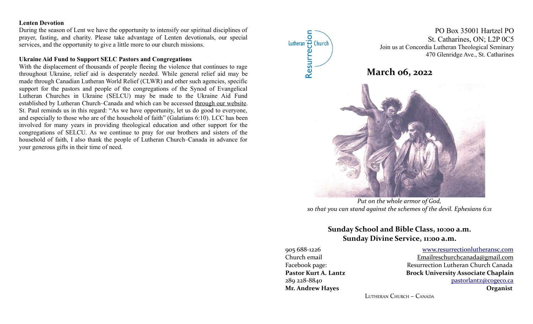#### **Lenten Devotion**

During the season of Lent we have the opportunity to intensify our spiritual disciplines of prayer, fasting, and charity. Please take advantage of Lenten devotionals, our special services, and the opportunity to give a little more to our church missions.

### **Ukraine Aid Fund to Support SELC Pastors and Congregations**

With the displacement of thousands of people fleeing the violence that continues to rage throughout Ukraine, relief aid is desperately needed. While general relief aid may be made through Canadian Lutheran World Relief (CLWR) and other such agencies, specific support for the pastors and people of the congregations of the Synod of Evangelical Lutheran Churches in Ukraine (SELCU) may be made to the Ukraine Aid Fund established by Lutheran Church–Canada and which can be accessed [through our website.](https://lutheranchurch.us2.list-manage.com/track/click?u=00e1b13783dbcc59e44a6a906&id=109c5c8a10&e=338b7aaecf) St. Paul reminds us in this regard: "As we have opportunity, let us do good to everyone, and especially to those who are of the household of faith" (Galatians 6:10). LCC has been involved for many years in providing theological education and other support for the congregations of SELCU. As we continue to pray for our brothers and sisters of the household of faith, I also thank the people of Lutheran Church–Canada in advance for your generous gifts in their time of need.



*Put on the whole armor of God, so that you can stand against the schemes of the devil. Ephesians 6:11*

# **Sunday School and Bible Class, 10:00 a.m. Sunday Divine Service, 11:00 a.m.**

905 688-1226 [www.resurrectionl utherans c.c om](http://www.resurrectionlc.ca/) Church email Emailreschurchcanada@gmail.com Facebook page: Resurrection Lutheran Church Canada Pastor Kurt A. Lantz **Brock University Associate Chaplain** 289 228-8840 [pastorlantz@cogeco.ca](mailto:pastorlantz@cogeco.ca) **Mr. Andrew Hayes Organist**

LUTHERAN CHURCH – CANADA